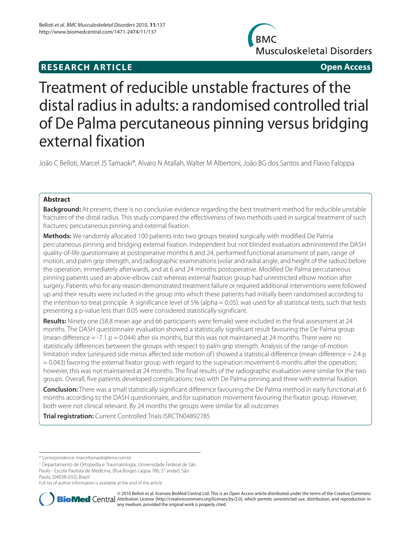# **RESEARCH ARTICLE Open Access**



# Treatment of reducible unstable fractures of the distal radius in adults: a randomised controlled trial of De Palma percutaneous pinning versus bridging external fixation

João C Belloti, Marcel JS Tamaoki\*, Alvaro N Atallah, Walter M Albertoni, João BG dos Santos and Flavio Faloppa

# **Abstract**

**Background:** At present, there is no conclusive evidence regarding the best treatment method for reducible unstable fractures of the distal radius. This study compared the effectiveness of two methods used in surgical treatment of such fractures: percutaneous pinning and external fixation.

**Methods:** We randomly allocated 100 patients into two groups treated surgically with modified De Palma percutaneous pinning and bridging external fixation. Independent but not blinded evaluators administered the DASH quality-of-life questionnaire at postoperative months 6 and 24, performed functional assessment of pain, range of motion, and palm grip strength, and radiographic examinations (volar and radial angle, and height of the radius) before the operation, immediately afterwards, and at 6 and 24 months postoperative. Modified De Palma percutaneous pinning patients used an above-elbow cast whereas external fixation group had unrestricted elbow motion after surgery. Patients who for any reason demonstrated treatment failure or required additional interventions were followed up and their results were included in the group into which these patients had initially been randomised according to the intention-to-treat principle. A significance level of 5% (alpha = 0.05). was used for all statistical tests, such that tests presenting a p-value less than 0.05 were considered statistically significant.

**Results:** Ninety one (58.8 mean age and 66 participants were female) were included in the final assessment at 24 months. The DASH questionnaire evaluation showed a statistically significant result favouring the De Palma group (mean difference  $= -7.1$  p  $= 0.044$ ) after six months, but this was not maintained at 24 months. There were no statistically differences between the groups with respect to palm grip strength. Analysis of the range-of-motion limitation index (uninjured side minus affected side motion of) showed a statistical difference (mean difference = 2.4 p  $= 0.043$ ) favoring the external fixator group with regard to the supination movement 6 months after the operation; however, this was not maintained at 24 months. The final results of the radiographic evaluation were similar for the two groups. Overall, five patients developed complications: two with De Palma pinning and three with external fixation.

**Conclusion:** There was a small statistically significant difference favouring the De Palma method in early functional at 6 months according to the DASH questionnaire, and for supination movement favouring the fixator group. However, both were not clinical relevant. By 24 months the groups were similar for all outcomes

**Trial registration:** Current Controlled Trials ISRCTN04892785

1 Departamento de Ortopedia e Traumatologia, Universidade Federal de São Paulo - Escola Paulista de Medicina, (Rua Borges Lagoa 786, 5° andar), São Paulo, (04038-032), Brazil

Full list of author information is available at the end of the article



© 2010 Belloti et al; licensee BioMed Central Ltd. This is an Open Access article distributed under the terms of the Creative Commons **BioMed** Central Attribution License (http://creativecommons.org/licenses/by/2.0), which permits unrestricted use, distribution, and reproduction in any medium, provided the original work is properly cited.

<sup>\*</sup> Correspondence: marceltamaoki@terra.com.br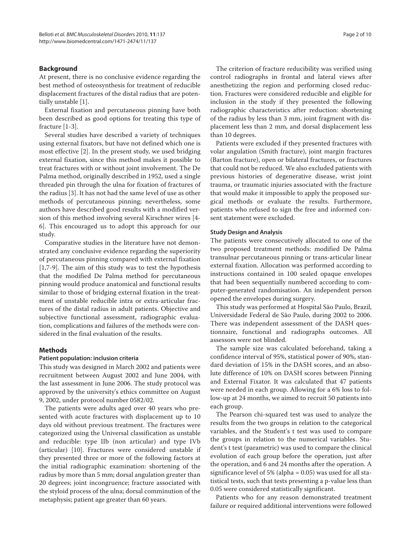# **Background**

At present, there is no conclusive evidence regarding the best method of osteosynthesis for treatment of reducible displacement fractures of the distal radius that are potentially unstable [1].

External fixation and percutaneous pinning have both been described as good options for treating this type of fracture [1-3].

Several studies have described a variety of techniques using external fixators, but have not defined which one is most effective [2]. In the present study, we used bridging external fixation, since this method makes it possible to treat fractures with or without joint involvement. The De Palma method, originally described in 1952, used a single threaded pin through the ulna for fixation of fractures of the radius [3]. It has not had the same level of use as other methods of percutaneous pinning; nevertheless, some authors have described good results with a modified version of this method involving several Kirschner wires [4- 6]. This encouraged us to adopt this approach for our study.

Comparative studies in the literature have not demonstrated any conclusive evidence regarding the superiority of percutaneous pinning compared with external fixation [1,7-9]. The aim of this study was to test the hypothesis that the modified De Palma method for percutaneous pinning would produce anatomical and functional results similar to those of bridging external fixation in the treatment of unstable reducible intra or extra-articular fractures of the distal radius in adult patients. Objective and subjective functional assessment, radiographic evaluation, complications and failures of the methods were considered in the final evaluation of the results.

# **Methods**

# **Patient population: inclusion criteria**

This study was designed in March 2002 and patients were recruitment between August 2002 and June 2004, with the last assessment in June 2006. The study protocol was approved by the university's ethics committee on August 9, 2002, under protocol number 0582/02.

The patients were adults aged over 40 years who presented with acute fractures with displacement up to 10 days old without previous treatment. The fractures were categorized using the Universal classification as unstable and reducible: type IIb (non articular) and type IVb (articular) [10]. Fractures were considered unstable if they presented three or more of the following factors at the initial radiographic examination: shortening of the radius by more than 5 mm; dorsal angulation greater than 20 degrees; joint incongruence; fracture associated with the styloid process of the ulna; dorsal comminution of the metaphysis; patient age greater than 60 years.

The criterion of fracture reducibility was verified using control radiographs in frontal and lateral views after anesthetizing the region and performing closed reduction. Fractures were considered reducible and eligible for inclusion in the study if they presented the following radiographic characteristics after reduction: shortening of the radius by less than 3 mm, joint fragment with displacement less than 2 mm, and dorsal displacement less than 10 degrees.

Patients were excluded if they presented fractures with volar angulation (Smith fracture), joint margin fractures (Barton fracture), open or bilateral fractures, or fractures that could not be reduced. We also excluded patients with previous histories of degenerative disease, wrist joint trauma, or traumatic injuries associated with the fracture that would make it impossible to apply the proposed surgical methods or evaluate the results. Furthermore, patients who refused to sign the free and informed consent statement were excluded.

# **Study Design and Analysis**

The patients were consecutively allocated to one of the two proposed treatment methods: modified De Palma transulnar percutaneous pinning or trans-articular linear external fixation. Allocation was performed according to instructions contained in 100 sealed opaque envelopes that had been sequentially numbered according to computer-generated randomisation. An independent person opened the envelopes during surgery.

This study was performed at Hospital São Paulo, Brazil, Universidade Federal de São Paulo, during 2002 to 2006. There was independent assessment of the DASH questionnaire, functional and radiographs outcomes. All assessors were not blinded.

The sample size was calculated beforehand, taking a confidence interval of 95%, statistical power of 90%, standard deviation of 15% in the DASH scores, and an absolute difference of 10% on DASH scores between Pinning and External Fixator. It was calculated that 47 patients were needed in each group. Allowing for a 6% loss to follow-up at 24 months, we aimed to recruit 50 patients into each group.

The Pearson chi-squared test was used to analyze the results from the two groups in relation to the categorical variables, and the Student's t test was used to compare the groups in relation to the numerical variables. Student's t test (parametric) was used to compare the clinical evolution of each group before the operation, just after the operation, and 6 and 24 months after the operation. A significance level of 5% (alpha = 0.05) was used for all statistical tests, such that tests presenting a p-value less than 0.05 were considered statistically significant.

Patients who for any reason demonstrated treatment failure or required additional interventions were followed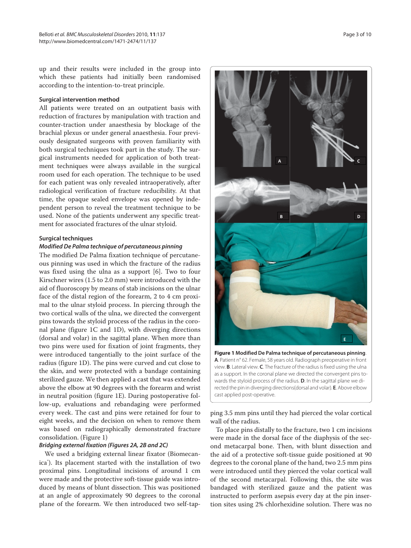up and their results were included in the group into which these patients had initially been randomised according to the intention-to-treat principle.

# **Surgical intervention method**

All patients were treated on an outpatient basis with reduction of fractures by manipulation with traction and counter-traction under anaesthesia by blockage of the brachial plexus or under general anaesthesia. Four previously designated surgeons with proven familiarity with both surgical techniques took part in the study. The surgical instruments needed for application of both treatment techniques were always available in the surgical room used for each operation. The technique to be used for each patient was only revealed intraoperatively, after radiological verification of fracture reducibility. At that time, the opaque sealed envelope was opened by independent person to reveal the treatment technique to be used. None of the patients underwent any specific treatment for associated fractures of the ulnar styloid.

#### **Surgical techniques**

# *Modified De Palma technique of percutaneous pinning*

The modified De Palma fixation technique of percutaneous pinning was used in which the fracture of the radius was fixed using the ulna as a support [6]. Two to four Kirschner wires (1.5 to 2.0 mm) were introduced with the aid of fluoroscopy by means of stab incisions on the ulnar face of the distal region of the forearm, 2 to 4 cm proximal to the ulnar styloid process. In piercing through the two cortical walls of the ulna, we directed the convergent pins towards the styloid process of the radius in the coronal plane (figure 1C and 1D), with diverging directions (dorsal and volar) in the sagittal plane. When more than two pins were used for fixation of joint fragments, they were introduced tangentially to the joint surface of the radius (figure 1D). The pins were curved and cut close to the skin, and were protected with a bandage containing sterilized gauze. We then applied a cast that was extended above the elbow at 90 degrees with the forearm and wrist in neutral position (figure 1E). During postoperative follow-up, evaluations and rebandaging were performed every week. The cast and pins were retained for four to eight weeks, and the decision on when to remove them was based on radiographically demonstrated fracture consolidation. (Figure 1)

# *Bridging external fixation (Figures 2A, 2B and 2C)*

We used a bridging external linear fixator (Biomecanica® ). Its placement started with the installation of two proximal pins. Longitudinal incisions of around 1 cm were made and the protective soft-tissue guide was introduced by means of blunt dissection. This was positioned at an angle of approximately 90 degrees to the coronal plane of the forearm. We then introduced two self-tap-



**Figure 1 Modified De Palma technique of percutaneous pinning**. **A**. Patient n° 62. Female, 58 years old. Radiograph preoperative in front view. **B**. Lateral view. **C**. The fracture of the radius is fixed using the ulna as a support. In the coronal plane we directed the convergent pins towards the styloid process of the radius. **D**. In the sagittal plane we directed the pin in diverging directions(dorsal and volar). **E**. Above elbow cast applied post-operative.

ping 3.5 mm pins until they had pierced the volar cortical wall of the radius.

To place pins distally to the fracture, two 1 cm incisions were made in the dorsal face of the diaphysis of the second metacarpal bone. Then, with blunt dissection and the aid of a protective soft-tissue guide positioned at 90 degrees to the coronal plane of the hand, two 2.5 mm pins were introduced until they pierced the volar cortical wall of the second metacarpal. Following this, the site was bandaged with sterilized gauze and the patient was instructed to perform asepsis every day at the pin insertion sites using 2% chlorhexidine solution. There was no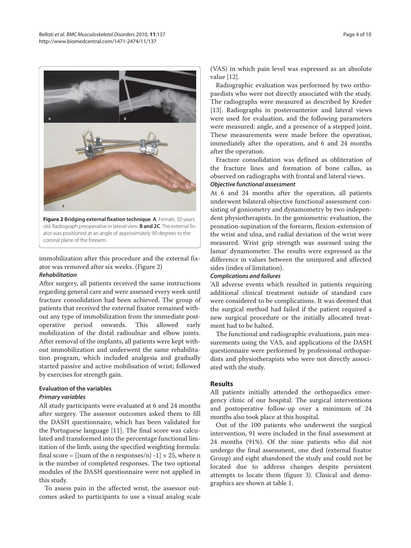

**Figure 2 Bridging external fixation technique**. **A**. Female, 50 years old. Radiograph preoperative in lateral view. **B and 2C**. The external fixator was positioned at an angle of approximately 90 degrees to the coronal plane of the forearm.

immobilization after this procedure and the external fixator was removed after six weeks. (Figure 2) *Rehabilitation*

After surgery, all patients received the same instructions regarding general care and were assessed every week until fracture consolidation had been achieved. The group of patients that received the external fixator remained without any type of immobilization from the immediate postoperative period onwards. This allowed early mobilization of the distal radioulnar and elbow joints. After removal of the implants, all patients were kept without immobilization and underwent the same rehabilitation program, which included analgesia and gradually started passive and active mobilisation of wrist; followed by exercises for strength gain.

# **Evaluation of the variables**

## *Primary variables*

All study participants were evaluated at 6 and 24 months after surgery. The assessor outcomes asked them to fill the DASH questionnaire, which has been validated for the Portuguese language [11]. The final score was calculated and transformed into the percentage functional limitation of the limb, using the specified weighting formula: final score =  $[\text{sum of the n responses/n}] -1 \times 25$ , where n is the number of completed responses. The two optional modules of the DASH questionnaire were not applied in this study.

To assess pain in the affected wrist, the assessor outcomes asked to participants to use a visual analog scale

(VAS) in which pain level was expressed as an absolute value [12].

Radiographic evaluation was performed by two orthopaedists who were not directly associated with the study. The radiographs were measured as described by Kreder [13]. Radiographs in posteroanterior and lateral views were used for evaluation, and the following parameters were measured: angle, and a presence of a stepped joint. These measurements were made before the operation, immediately after the operation, and 6 and 24 months after the operation.

Fracture consolidation was defined as obliteration of the fracture lines and formation of bone callus, as observed on radiographs with frontal and lateral views.

# *Objective functional assessment*

At 6 and 24 months after the operation, all patients underwent bilateral objective functional assessment consisting of goniometry and dynamometry by two independent physiotherapists. In the goniometric evaluation, the pronation-supination of the forearm, flexion-extension of the wrist and ulna, and radial deviation of the wrist were measured. Wrist grip strength was assessed using the Jamar<sup>®</sup> dynamometer. The results were expressed as the difference in values between the uninjured and affected sides (index of limitation).

# *Complications and failures*

'All adverse events which resulted in patients requiring additional clinical treatment outside of standard care were considered to be complications. It was deemed that the surgical method had failed if the patient required a new surgical procedure or the initially allocated treatment had to be halted.

The functional and radiographic evaluations, pain measurements using the VAS, and applications of the DASH questionnaire were performed by professional orthopaedists and physiotherapists who were not directly associated with the study.

# **Results**

All patients initially attended the orthopaedics emergency clinic of our hospital. The surgical interventions and postoperative follow-up over a minimum of 24 months also took place at this hospital.

Out of the 100 patients who underwent the surgical intervention, 91 were included in the final assessment at 24 months (91%). Of the nine patients who did not undergo the final assessment, one died (external fixator Group) and eight abandoned the study and could not be located due to address changes despite persistent attempts to locate them (figure 3). Clinical and demographics are shown at table 1.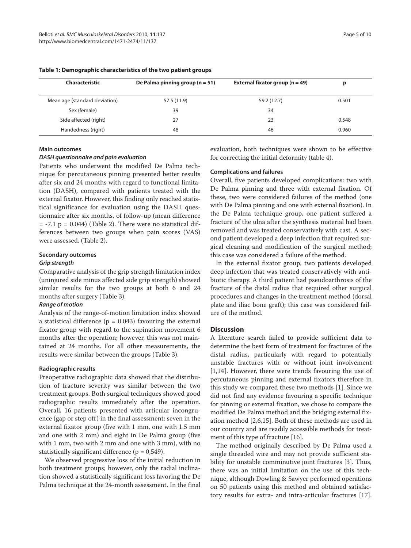| Characteristic                | De Palma pinning group ( $n = 51$ ) | External fixator group $(n = 49)$ |       |
|-------------------------------|-------------------------------------|-----------------------------------|-------|
|                               |                                     |                                   |       |
| Mean age (standard deviation) | 57.5 (11.9)                         | 59.2 (12.7)                       | 0.501 |
| Sex (female)                  | 39                                  | 34                                |       |
| Side affected (right)         | 27                                  | 23                                | 0.548 |
| Handedness (right)            | 48                                  | 46                                | 0.960 |

# **Table 1: Demographic characteristics of the two patient groups**

#### **Main outcomes**

#### *DASH questionnaire and pain evaluation*

Patients who underwent the modified De Palma technique for percutaneous pinning presented better results after six and 24 months with regard to functional limitation (DASH), compared with patients treated with the external fixator. However, this finding only reached statistical significance for evaluation using the DASH questionnaire after six months, of follow-up (mean difference  $= -7.1$  p  $= 0.044$ ) (Table 2). There were no statistical differences between two groups when pain scores (VAS) were assessed. (Table 2).

# **Secondary outcomes**

#### *Grip strength*

Comparative analysis of the grip strength limitation index (uninjured side minus affected side grip strength) showed similar results for the two groups at both 6 and 24 months after surgery (Table 3).

#### *Range of motion*

Analysis of the range-of-motion limitation index showed a statistical difference ( $p = 0.043$ ) favouring the external fixator group with regard to the supination movement 6 months after the operation; however, this was not maintained at 24 months. For all other measurements, the results were similar between the groups (Table 3).

#### **Radiographic results**

Preoperative radiographic data showed that the distribution of fracture severity was similar between the two treatment groups. Both surgical techniques showed good radiographic results immediately after the operation. Overall, 16 patients presented with articular incongruence (gap or step off) in the final assessment: seven in the external fixator group (five with 1 mm, one with 1.5 mm and one with 2 mm) and eight in De Palma group (five with 1 mm, two with 2 mm and one with 3 mm), with no statistically significant difference ( $p = 0.549$ ).

We observed progressive loss of the initial reduction in both treatment groups; however, only the radial inclination showed a statistically significant loss favoring the De Palma technique at the 24-month assessment. In the final

evaluation, both techniques were shown to be effective for correcting the initial deformity (table 4).

# **Complications and failures**

Overall, five patients developed complications: two with De Palma pinning and three with external fixation. Of these, two were considered failures of the method (one with De Palma pinning and one with external fixation). In the De Palma technique group, one patient suffered a fracture of the ulna after the synthesis material had been removed and was treated conservatively with cast. A second patient developed a deep infection that required surgical cleaning and modification of the surgical method; this case was considered a failure of the method.

In the external fixator group, two patients developed deep infection that was treated conservatively with antibiotic therapy. A third patient had pseudoarthrosis of the fracture of the distal radius that required other surgical procedures and changes in the treatment method (dorsal plate and iliac bone graft); this case was considered failure of the method.

# **Discussion**

A literature search failed to provide sufficient data to determine the best form of treatment for fractures of the distal radius, particularly with regard to potentially unstable fractures with or without joint involvement [1,14]. However, there were trends favouring the use of percutaneous pinning and external fixators therefore in this study we compared these two methods [1]. Since we did not find any evidence favouring a specific technique for pinning or external fixation, we chose to compare the modified De Palma method and the bridging external fixation method [2,6,15]. Both of these methods are used in our country and are readily accessible methods for treatment of this type of fracture [16].

The method originally described by De Palma used a single threaded wire and may not provide sufficient stability for unstable comminutive joint fractures [3]. Thus, there was an initial limitation on the use of this technique, although Dowling & Sawyer performed operations on 50 patients using this method and obtained satisfactory results for extra- and intra-articular fractures [17].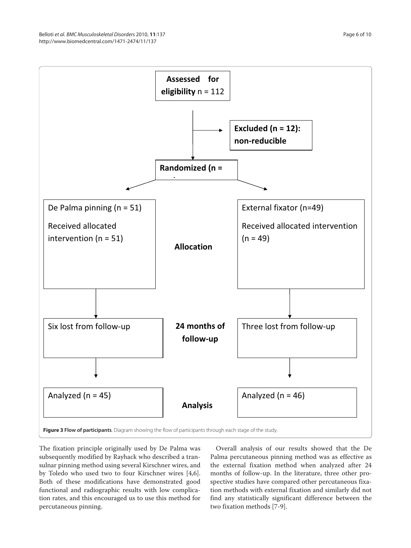

The fixation principle originally used by De Palma was subsequently modified by Rayhack who described a transulnar pinning method using several Kirschner wires, and by Toledo who used two to four Kirschner wires [4,6]. Both of these modifications have demonstrated good functional and radiographic results with low complication rates, and this encouraged us to use this method for percutaneous pinning.

Overall analysis of our results showed that the De Palma percutaneous pinning method was as effective as the external fixation method when analyzed after 24 months of follow-up. In the literature, three other prospective studies have compared other percutaneous fixation methods with external fixation and similarly did not find any statistically significant difference between the two fixation methods [7-9].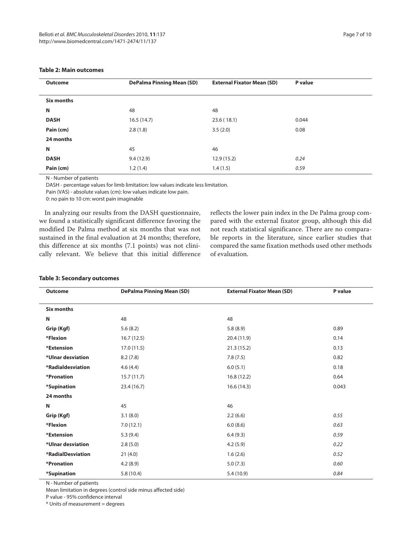| <b>Outcome</b> | <b>DePalma Pinning Mean (SD)</b> | <b>External Fixator Mean (SD)</b> | P value |
|----------------|----------------------------------|-----------------------------------|---------|
| Six months     |                                  |                                   |         |
| N              | 48                               | 48                                |         |
| <b>DASH</b>    | 16.5(14.7)                       | 23.6(18.1)                        | 0.044   |
| Pain (cm)      | 2.8(1.8)                         | 3.5(2.0)                          | 0.08    |
| 24 months      |                                  |                                   |         |
| Ν              | 45                               | 46                                |         |
| <b>DASH</b>    | 9.4(12.9)                        | 12.9(15.2)                        | 0.24    |
| Pain (cm)      | 1.2(1.4)                         | 1.4(1.5)                          | 0.59    |

# **Table 2: Main outcomes**

N - Number of patients

DASH - percentage values for limb limitation: low values indicate less limitation.

Pain (VAS) - absolute values (cm): low values indicate low pain.

0: no pain to 10 cm: worst pain imaginable

In analyzing our results from the DASH questionnaire, we found a statistically significant difference favoring the modified De Palma method at six months that was not sustained in the final evaluation at 24 months; therefore, this difference at six months (7.1 points) was not clinically relevant. We believe that this initial difference

reflects the lower pain index in the De Palma group compared with the external fixator group, although this did not reach statistical significance. There are no comparable reports in the literature, since earlier studies that compared the same fixation methods used other methods of evaluation.

#### **Table 3: Secondary outcomes**

| <b>Outcome</b>    | <b>DePalma Pinning Mean (SD)</b> | <b>External Fixator Mean (SD)</b> | P value |
|-------------------|----------------------------------|-----------------------------------|---------|
| Six months        |                                  |                                   |         |
| N                 | 48                               | 48                                |         |
| Grip (Kgf)        | 5.6(8.2)                         | 5.8(8.9)                          | 0.89    |
| *Flexion          | 16.7(12.5)                       | 20.4 (11.9)                       | 0.14    |
| *Extension        | 17.0(11.5)                       | 21.3(15.2)                        | 0.13    |
| *Ulnar desviation | 8.2(7.8)                         | 7.8(7.5)                          | 0.82    |
| *Radialdesviation | 4.6(4.4)                         | 6.0(5.1)                          | 0.18    |
| *Pronation        | 15.7(11.7)                       | 16.8(12.2)                        | 0.64    |
| *Supination       | 23.4(16.7)                       | 16.6(14.3)                        | 0.043   |
| 24 months         |                                  |                                   |         |
| N                 | 45                               | 46                                |         |
| Grip (Kgf)        | 3.1(8.0)                         | 2.2(6.6)                          | 0.55    |
| *Flexion          | 7.0(12.1)                        | 6.0(8.6)                          | 0.63    |
| *Extension        | 5.3(9.4)                         | 6.4(9.3)                          | 0.59    |
| *Ulnar desviation | 2.8(5.0)                         | 4.2(5.9)                          | 0.22    |
| *RadialDesviation | 21(4.0)                          | 1.6(2.6)                          | 0.52    |
| *Pronation        | 4.2(8.9)                         | 5.0(7.3)                          | 0.60    |
| *Supination       | 5.8(10.4)                        | 5.4(10.9)                         | 0.84    |

N - Number of patients

Mean limitation in degrees (control side minus affected side)

P value - 95% confidence interval

\* Units of measurement = degrees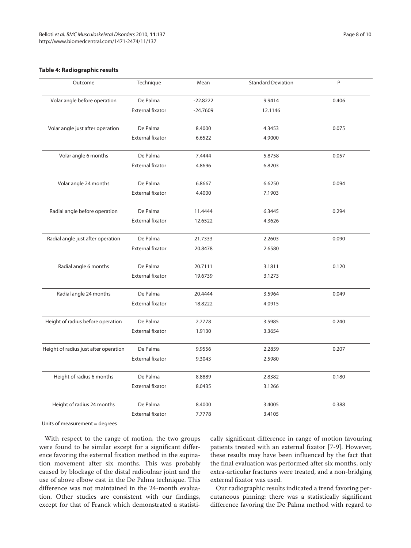# **Table 4: Radiographic results**

| Outcome                               | Technique               | Mean       | <b>Standard Deviation</b> | P     |
|---------------------------------------|-------------------------|------------|---------------------------|-------|
| Volar angle before operation          | De Palma                | $-22.8222$ | 9.9414                    | 0.406 |
|                                       | <b>External fixator</b> | $-24.7609$ | 12.1146                   |       |
| Volar angle just after operation      | De Palma                | 8.4000     | 4.3453                    | 0.075 |
|                                       | <b>External fixator</b> | 6.6522     | 4.9000                    |       |
| Volar angle 6 months                  | De Palma                | 7.4444     | 5.8758                    | 0.057 |
|                                       | <b>External fixator</b> | 4.8696     | 6.8203                    |       |
| Volar angle 24 months                 | De Palma                | 6.8667     | 6.6250                    | 0.094 |
|                                       | <b>External fixator</b> | 4.4000     | 7.1903                    |       |
| Radial angle before operation         | De Palma                | 11.4444    | 6.3445                    | 0.294 |
|                                       | <b>External fixator</b> | 12.6522    | 4.3626                    |       |
| Radial angle just after operation     | De Palma                | 21.7333    | 2.2603                    | 0.090 |
|                                       | <b>External fixator</b> | 20.8478    | 2.6580                    |       |
| Radial angle 6 months                 | De Palma                | 20.7111    | 3.1811                    | 0.120 |
|                                       | <b>External fixator</b> | 19.6739    | 3.1273                    |       |
| Radial angle 24 months                | De Palma                | 20.4444    | 3.5964                    | 0.049 |
|                                       | <b>External fixator</b> | 18.8222    | 4.0915                    |       |
| Height of radius before operation     | De Palma                | 2.7778     | 3.5985                    | 0.240 |
|                                       | External fixator        | 1.9130     | 3.3654                    |       |
| Height of radius just after operation | De Palma                | 9.9556     | 2.2859                    | 0.207 |
|                                       | External fixator        | 9.3043     | 2.5980                    |       |
| Height of radius 6 months             | De Palma                | 8.8889     | 2.8382                    | 0.180 |
|                                       | External fixator        | 8.0435     | 3.1266                    |       |
| Height of radius 24 months            | De Palma                | 8.4000     | 3.4005                    | 0.388 |
|                                       | <b>External fixator</b> | 7.7778     | 3.4105                    |       |

Units of measurement = degrees

With respect to the range of motion, the two groups were found to be similar except for a significant difference favoring the external fixation method in the supination movement after six months. This was probably caused by blockage of the distal radioulnar joint and the use of above elbow cast in the De Palma technique. This difference was not maintained in the 24-month evaluation. Other studies are consistent with our findings, except for that of Franck which demonstrated a statistically significant difference in range of motion favouring patients treated with an external fixator [7-9]. However, these results may have been influenced by the fact that the final evaluation was performed after six months, only extra-articular fractures were treated, and a non-bridging external fixator was used.

Our radiographic results indicated a trend favoring percutaneous pinning: there was a statistically significant difference favoring the De Palma method with regard to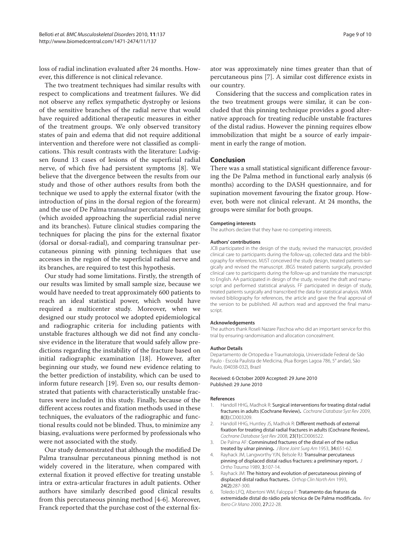loss of radial inclination evaluated after 24 months. However, this difference is not clinical relevance.

The two treatment techniques had similar results with respect to complications and treatment failures. We did not observe any reflex sympathetic dystrophy or lesions of the sensitive branches of the radial nerve that would have required additional therapeutic measures in either of the treatment groups. We only observed transitory states of pain and edema that did not require additional intervention and therefore were not classified as complications. This result contrasts with the literature: Ludvigsen found 13 cases of lesions of the superficial radial nerve, of which five had persistent symptoms [8]. We believe that the divergence between the results from our study and those of other authors results from both the technique we used to apply the external fixator (with the introduction of pins in the dorsal region of the forearm) and the use of De Palma transulnar percutaneous pinning (which avoided approaching the superficial radial nerve and its branches). Future clinical studies comparing the techniques for placing the pins for the external fixator (dorsal or dorsal-radial), and comparing transulnar percutaneous pinning with pinning techniques that use accesses in the region of the superficial radial nerve and its branches, are required to test this hypothesis.

Our study had some limitations. Firstly, the strength of our results was limited by small sample size, because we would have needed to treat approximately 600 patients to reach an ideal statistical power, which would have required a multicenter study. Moreover, when we designed our study protocol we adopted epidemiological and radiographic criteria for including patients with unstable fractures although we did not find any conclusive evidence in the literature that would safely allow predictions regarding the instability of the fracture based on initial radiographic examination [18]. However, after beginning our study, we found new evidence relating to the better prediction of instability, which can be used to inform future research [19]. Even so, our results demonstrated that patients with characteristically unstable fractures were included in this study. Finally, because of the different access routes and fixation methods used in these techniques, the evaluators of the radiographic and functional results could not be blinded. Thus, to minimize any biasing, evaluations were performed by professionals who were not associated with the study.

Our study demonstrated that although the modified De Palma transulnar percutaneous pinning method is not widely covered in the literature, when compared with external fixation it proved effective for treating unstable intra or extra-articular fractures in adult patients. Other authors have similarly described good clinical results from this percutaneous pinning method [4-6]. Moreover, Franck reported that the purchase cost of the external fix-

ator was approximately nine times greater than that of percutaneous pins [7]. A similar cost difference exists in our country.

Considering that the success and complication rates in the two treatment groups were similar, it can be concluded that this pinning technique provides a good alternative approach for treating reducible unstable fractures of the distal radius. However the pinning requires elbow immobilization that might be a source of early impairment in early the range of motion.

#### **Conclusion**

There was a small statistical significant difference favouring the De Palma method in functional early analysis (6 months) according to the DASH questionnaire, and for supination movement favouring the fixator group. However, both were not clinical relevant. At 24 months, the groups were similar for both groups.

#### **Competing interests**

The authors declare that they have no competing interests.

#### **Authors' contributions**

JCB participated in the design of the study, revised the manuscript, provided clinical care to participants during the follow-up, collected data and the bibliography for references. MJST conceived the study design, treated patients surgically and revised the manuscript. JBGS treated patients surgically, provided clinical care to participants during the follow-up and translate the manuscript to English. AA participated in design of the study, revised the draft and manuscript and performed statistical analysis. FF participated in design of study, treated patients surgically and transcribed the data for statistical analysis. WMA revised bibliography for references, the article and gave the final approval of the version to be published. All authors read and approved the final manuscript.

#### **Acknowledgements**

The authors thank Roseli Nazare Paschoa who did an important service for this trial by ensuring randomisation and allocation concealment.

#### **Author Details**

Departamento de Ortopedia e Traumatologia, Universidade Federal de São Paulo - Escola Paulista de Medicina, (Rua Borges Lagoa 786, 5° andar), São Paulo, (04038-032), Brazil

#### Received: 6 October 2009 Accepted: 29 June 2010 Published: 29 June 2010

#### **References**

- 1. Handoll HHG, Madhok R: Surgical interventions for treating distal radial fractures in adults (Cochrane Review)**.** Cochrane Database Syst Rev 2009, 8(3):CD003209.
- 2. Handoll HHG, Huntley JS, Madhok R: Different methods of external fixation for treating distal radial fractures in adults (Cochrane Review)**.** Cochrane Database Syst Rev 2008, 23(1):CD006522.
- 3. De Palma AF: Comminuted fractures of the distal en of the radius treated by ulnar pinning**.** J Bone Joint Surg Am 1953, 34:651-62.
- 4. Rayhack JM, Langworthy YJN, Belsole RJ: Transulnar percutaneus pinning of displaced distal radius fractures: a preliminary report**.** J Ortho Trauma 1989, 3:107-14.
- 5. Rayhack JM: The history and evolution of percutaneous pinning of displaced distal radius fractures**.** Orthop Clin North Am 1993, 24(2):287-300.
- 6. Toledo LFQ, Albertoni WM, Faloppa F: Tratamento das fraturas da extremidade distal do rádio pela técnica de De Palma modificada**.** Rev Ibero Cir Mano 2000, 27:22-28.